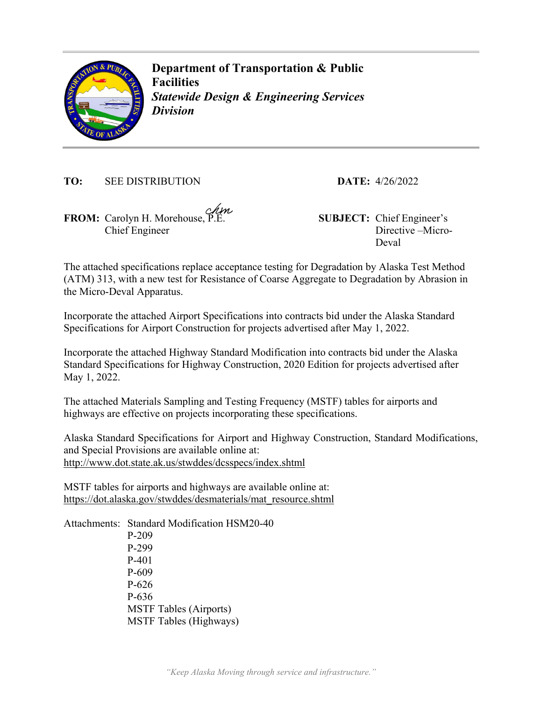

**Department of Transportation & Public Facilities**  *Statewide Design & Engineering Services Division* 

**TO:** SEE DISTRIBUTION **DATE:** 4/26/2022

**FROM:** Carolyn H. Morehouse, P.E. **SUBJECT:** Chief Engineer's Chief Engineer

Directive –Micro-Deval

The attached specifications replace acceptance testing for Degradation by Alaska Test Method (ATM) 313, with a new test for Resistance of Coarse Aggregate to Degradation by Abrasion in the Micro-Deval Apparatus.

Incorporate the attached Airport Specifications into contracts bid under the Alaska Standard Specifications for Airport Construction for projects advertised after May 1, 2022.

Incorporate the attached Highway Standard Modification into contracts bid under the Alaska Standard Specifications for Highway Construction, 2020 Edition for projects advertised after May 1, 2022.

The attached Materials Sampling and Testing Frequency (MSTF) tables for airports and highways are effective on projects incorporating these specifications.

Alaska Standard Specifications for Airport and Highway Construction, Standard Modifications, and Special Provisions are available online at: http://www.dot.state.ak.us/stwddes/dcsspecs/index.shtml

MSTF tables for airports and highways are available online at: https://dot.alaska.gov/stwddes/desmaterials/mat\_resource.shtml

Attachments: Standard Modification HSM20-40 P-209 P-299 P-401 P-609 P-626 P-636 MSTF Tables (Airports) MSTF Tables (Highways)